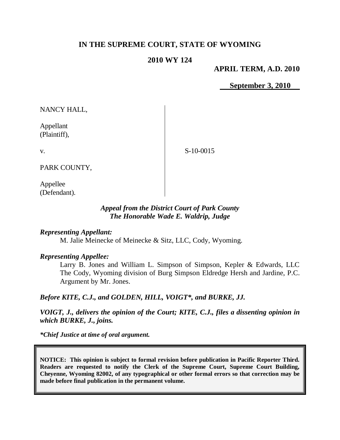# **IN THE SUPREME COURT, STATE OF WYOMING**

# **2010 WY 124**

**APRIL TERM, A.D. 2010**

**September 3, 2010**

NANCY HALL,

Appellant (Plaintiff),

v.

S-10-0015

PARK COUNTY,

Appellee (Defendant).

# *Appeal from the District Court of Park County The Honorable Wade E. Waldrip, Judge*

## *Representing Appellant:*

M. Jalie Meinecke of Meinecke & Sitz, LLC, Cody, Wyoming.

### *Representing Appellee:*

Larry B. Jones and William L. Simpson of Simpson, Kepler & Edwards, LLC The Cody, Wyoming division of Burg Simpson Eldredge Hersh and Jardine, P.C. Argument by Mr. Jones.

*Before KITE, C.J., and GOLDEN, HILL, VOIGT\*, and BURKE, JJ.*

*VOIGT, J., delivers the opinion of the Court; KITE, C.J., files a dissenting opinion in which BURKE, J., joins.*

*\*Chief Justice at time of oral argument.*

**NOTICE: This opinion is subject to formal revision before publication in Pacific Reporter Third. Readers are requested to notify the Clerk of the Supreme Court, Supreme Court Building, Cheyenne, Wyoming 82002, of any typographical or other formal errors so that correction may be made before final publication in the permanent volume.**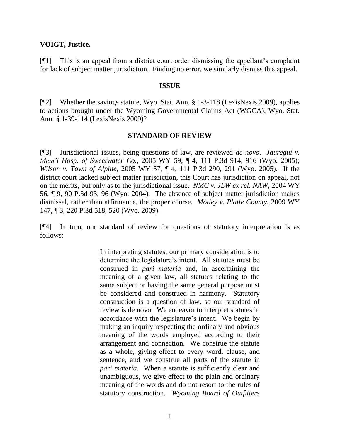## **VOIGT, Justice.**

[¶1] This is an appeal from a district court order dismissing the appellant's complaint for lack of subject matter jurisdiction. Finding no error, we similarly dismiss this appeal.

### **ISSUE**

[¶2] Whether the savings statute, Wyo. Stat. Ann. § 1-3-118 (LexisNexis 2009), applies to actions brought under the Wyoming Governmental Claims Act (WGCA), Wyo. Stat. Ann. § 1-39-114 (LexisNexis 2009)?

# **STANDARD OF REVIEW**

[¶3] Jurisdictional issues, being questions of law, are reviewed *de novo*. *Jauregui v. Mem'l Hosp. of Sweetwater Co.*, 2005 WY 59, ¶ 4, 111 P.3d 914, 916 (Wyo. 2005); *Wilson v. Town of Alpine*, 2005 WY 57, ¶ 4, 111 P.3d 290, 291 (Wyo. 2005). If the district court lacked subject matter jurisdiction, this Court has jurisdiction on appeal, not on the merits, but only as to the jurisdictional issue. *NMC v. JLW ex rel. NAW*, 2004 WY 56, ¶ 9, 90 P.3d 93, 96 (Wyo. 2004). The absence of subject matter jurisdiction makes dismissal, rather than affirmance, the proper course. *Motley v. Platte County*, 2009 WY 147, ¶ 3, 220 P.3d 518, 520 (Wyo. 2009).

[¶4] In turn, our standard of review for questions of statutory interpretation is as follows:

> In interpreting statutes, our primary consideration is to determine the legislature's intent. All statutes must be construed in *pari materia* and, in ascertaining the meaning of a given law, all statutes relating to the same subject or having the same general purpose must be considered and construed in harmony. Statutory construction is a question of law, so our standard of review is de novo. We endeavor to interpret statutes in accordance with the legislature's intent. We begin by making an inquiry respecting the ordinary and obvious meaning of the words employed according to their arrangement and connection. We construe the statute as a whole, giving effect to every word, clause, and sentence, and we construe all parts of the statute in *pari materia*. When a statute is sufficiently clear and unambiguous, we give effect to the plain and ordinary meaning of the words and do not resort to the rules of statutory construction. *Wyoming Board of Outfitters*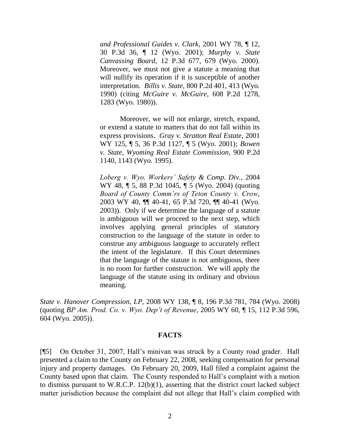*and Professional Guides v. Clark*, 2001 WY 78, ¶ 12, 30 P.3d 36, ¶ 12 (Wyo. 2001); *Murphy v. State Canvassing Board*, 12 P.3d 677, 679 (Wyo. 2000). Moreover, we must not give a statute a meaning that will nullify its operation if it is susceptible of another interpretation. *Billis v. State*, 800 P.2d 401, 413 (Wyo. 1990) (citing *McGuire v. McGuire*, 608 P.2d 1278, 1283 (Wyo. 1980)).

Moreover, we will not enlarge, stretch, expand, or extend a statute to matters that do not fall within its express provisions. *Gray v. Stratton Real Estate*, 2001 WY 125, ¶ 5, 36 P.3d 1127, ¶ 5 (Wyo. 2001); *Bowen v. State, Wyoming Real Estate Commission*, 900 P.2d 1140, 1143 (Wyo. 1995).

*Loberg v. Wyo. Workers' Safety & Comp. Div.*, 2004 WY 48, ¶ 5, 88 P.3d 1045, ¶ 5 (Wyo. 2004) (quoting *Board of County Comm'rs of Teton County v. Crow*, 2003 WY 40, ¶¶ 40-41, 65 P.3d 720, ¶¶ 40-41 (Wyo. 2003)). Only if we determine the language of a statute is ambiguous will we proceed to the next step, which involves applying general principles of statutory construction to the language of the statute in order to construe any ambiguous language to accurately reflect the intent of the legislature. If this Court determines that the language of the statute is not ambiguous, there is no room for further construction. We will apply the language of the statute using its ordinary and obvious meaning.

*State v. Hanover Compression, LP*, 2008 WY 138, ¶ 8, 196 P.3d 781, 784 (Wyo. 2008) (quoting *BP Am. Prod. Co. v. Wyo. Dep't of Revenue*, 2005 WY 60, ¶ 15, 112 P.3d 596, 604 (Wyo. 2005)).

#### **FACTS**

[¶5] On October 31, 2007, Hall's minivan was struck by a County road grader. Hall presented a claim to the County on February 22, 2008, seeking compensation for personal injury and property damages. On February 20, 2009, Hall filed a complaint against the County based upon that claim. The County responded to Hall's complaint with a motion to dismiss pursuant to W.R.C.P. 12(b)(1), asserting that the district court lacked subject matter jurisdiction because the complaint did not allege that Hall's claim complied with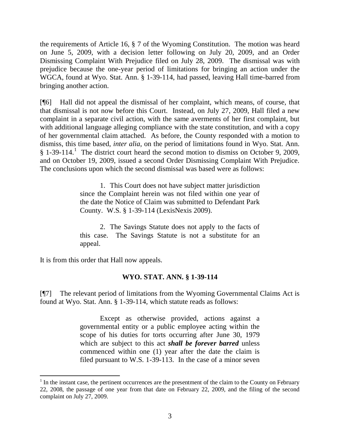the requirements of Article 16, § 7 of the Wyoming Constitution. The motion was heard on June 5, 2009, with a decision letter following on July 20, 2009, and an Order Dismissing Complaint With Prejudice filed on July 28, 2009. The dismissal was with prejudice because the one-year period of limitations for bringing an action under the WGCA, found at Wyo. Stat. Ann. § 1-39-114, had passed, leaving Hall time-barred from bringing another action.

[¶6] Hall did not appeal the dismissal of her complaint, which means, of course, that that dismissal is not now before this Court. Instead, on July 27, 2009, Hall filed a new complaint in a separate civil action, with the same averments of her first complaint, but with additional language alleging compliance with the state constitution, and with a copy of her governmental claim attached. As before, the County responded with a motion to dismiss, this time based, *inter alia*, on the period of limitations found in Wyo. Stat. Ann.  $§$  1-39-114.<sup>1</sup> The district court heard the second motion to dismiss on October 9, 2009, and on October 19, 2009, issued a second Order Dismissing Complaint With Prejudice. The conclusions upon which the second dismissal was based were as follows:

> 1. This Court does not have subject matter jurisdiction since the Complaint herein was not filed within one year of the date the Notice of Claim was submitted to Defendant Park County. W.S. § 1-39-114 (LexisNexis 2009).

> 2. The Savings Statute does not apply to the facts of this case. The Savings Statute is not a substitute for an appeal.

It is from this order that Hall now appeals.

# **WYO. STAT. ANN. § 1-39-114**

[¶7] The relevant period of limitations from the Wyoming Governmental Claims Act is found at Wyo. Stat. Ann. § 1-39-114, which statute reads as follows:

> Except as otherwise provided, actions against a governmental entity or a public employee acting within the scope of his duties for torts occurring after June 30, 1979 which are subject to this act *shall be forever barred* unless commenced within one (1) year after the date the claim is filed pursuant to W.S. 1-39-113. In the case of a minor seven

 $<sup>1</sup>$  In the instant case, the pertinent occurrences are the presentment of the claim to the County on February</sup> 22, 2008, the passage of one year from that date on February 22, 2009, and the filing of the second complaint on July 27, 2009.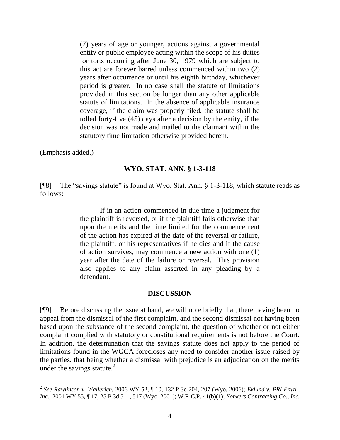(7) years of age or younger, actions against a governmental entity or public employee acting within the scope of his duties for torts occurring after June 30, 1979 which are subject to this act are forever barred unless commenced within two (2) years after occurrence or until his eighth birthday, whichever period is greater. In no case shall the statute of limitations provided in this section be longer than any other applicable statute of limitations. In the absence of applicable insurance coverage, if the claim was properly filed, the statute shall be tolled forty-five (45) days after a decision by the entity, if the decision was not made and mailed to the claimant within the statutory time limitation otherwise provided herein.

(Emphasis added.)

### **WYO. STAT. ANN. § 1-3-118**

[¶8] The "savings statute" is found at Wyo. Stat. Ann. § 1-3-118, which statute reads as follows:

> If in an action commenced in due time a judgment for the plaintiff is reversed, or if the plaintiff fails otherwise than upon the merits and the time limited for the commencement of the action has expired at the date of the reversal or failure, the plaintiff, or his representatives if he dies and if the cause of action survives, may commence a new action with one (1) year after the date of the failure or reversal. This provision also applies to any claim asserted in any pleading by a defendant.

### **DISCUSSION**

[¶9] Before discussing the issue at hand, we will note briefly that, there having been no appeal from the dismissal of the first complaint, and the second dismissal not having been based upon the substance of the second complaint, the question of whether or not either complaint complied with statutory or constitutional requirements is not before the Court. In addition, the determination that the savings statute does not apply to the period of limitations found in the WGCA forecloses any need to consider another issue raised by the parties, that being whether a dismissal with prejudice is an adjudication on the merits under the savings statute. $^{2}$ 

 2 *See Rawlinson v. Wallerich*, 2006 WY 52, ¶ 10, 132 P.3d 204, 207 (Wyo. 2006); *Eklund v. PRI Envtl., Inc.*, 2001 WY 55, ¶ 17, 25 P.3d 511, 517 (Wyo. 2001); W.R.C.P. 41(b)(1); *Yonkers Contracting Co., Inc.*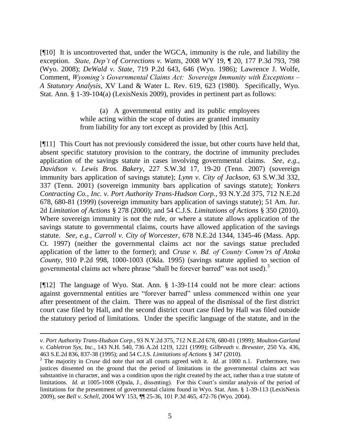[¶10] It is uncontroverted that, under the WGCA, immunity is the rule, and liability the exception. *State, Dep't of Corrections v. Watts*, 2008 WY 19, ¶ 20, 177 P.3d 793, 798 (Wyo. 2008); *DeWald v. State*, 719 P.2d 643, 646 (Wyo. 1986); Lawrence J. Wolfe, Comment, *Wyoming's Governmental Claims Act: Sovereign Immunity with Exceptions – A Statutory Analysis,* XV Land & Water L. Rev. 619, 623 (1980). Specifically, Wyo. Stat. Ann. § 1-39-104(a) (LexisNexis 2009), provides in pertinent part as follows:

> (a) A governmental entity and its public employees while acting within the scope of duties are granted immunity from liability for any tort except as provided by [this Act].

[¶11] This Court has not previously considered the issue, but other courts have held that, absent specific statutory provision to the contrary, the doctrine of immunity precludes application of the savings statute in cases involving governmental claims. *See, e.g., Davidson v. Lewis Bros. Bakery*, 227 S.W.3d 17, 19-20 (Tenn. 2007) (sovereign immunity bars application of savings statute); *Lynn v. City of Jackson*, 63 S.W.3d 332, 337 (Tenn. 2001) (sovereign immunity bars application of savings statute); *Yonkers Contracting Co., Inc. v. Port Authority Trans-Hudson Corp.*, 93 N.Y.2d 375, 712 N.E.2d 678, 680-81 (1999) (sovereign immunity bars application of savings statute); 51 Am. Jur. 2d *Limitation of Actions* § 278 (2000); and 54 C.J.S. *Limitations of Actions* § 350 (2010). Where sovereign immunity is not the rule, or where a statute allows application of the savings statute to governmental claims, courts have allowed application of the savings statute. *See, e.g., Carroll v. City of Worcester*, 678 N.E.2d 1344, 1345-46 (Mass. App. Ct. 1997) (neither the governmental claims act nor the savings statue precluded application of the latter to the former); and *Cruse v. Bd. of County Comm'rs of Atoka County*, 910 P.2d 998, 1000-1003 (Okla. 1995) (savings statute applied to section of governmental claims act where phrase "shall be forever barred" was not used).<sup>3</sup>

[¶12] The language of Wyo. Stat. Ann. § 1-39-114 could not be more clear: actions against governmental entities are "forever barred" unless commenced within one year after presentment of the claim. There was no appeal of the dismissal of the first district court case filed by Hall, and the second district court case filed by Hall was filed outside the statutory period of limitations. Under the specific language of the statute, and in the

*v. Port Authority Trans-Hudson Corp.*, 93 N.Y.2d 375, 712 N.E.2d 678, 680-81 (1999); *Moulton-Garland v. Cabletron Sys, Inc.*, 143 N.H. 540, 736 A.2d 1219, 1221 (1999); *Gilbreath v. Brewster*, 250 Va. 436, 463 S.E.2d 836, 837-38 (1995); and 54 C.J.S. *Limitations of Actions* § 347 (2010).

<sup>3</sup> The majority in *Cruse* did note that not all courts agreed with it. *Id*. at 1000 n.1. Furthermore, two justices dissented on the ground that the period of limitations in the governmental claims act was substantive in character, and was a condition upon the right created by the act, rather than a true statute of limitations. *Id.* at 1005-1008 (Opala, J., dissenting). For this Court's similar analysis of the period of limitations for the presentment of governmental claims found in Wyo. Stat. Ann. § 1-39-113 (LexisNexis 2009), see *Bell v. Schell*, 2004 WY 153, ¶¶ 25-36, 101 P.3d 465, 472-76 (Wyo. 2004).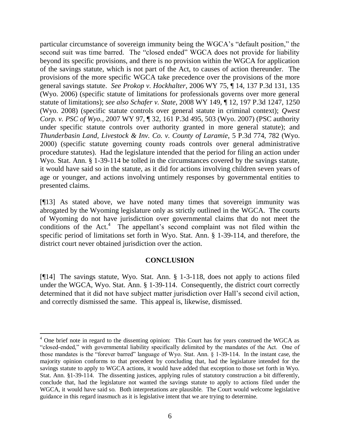particular circumstance of sovereign immunity being the WGCA's "default position," the second suit was time barred. The "closed ended" WGCA does not provide for liability beyond its specific provisions, and there is no provision within the WGCA for application of the savings statute, which is not part of the Act, to causes of action thereunder. The provisions of the more specific WGCA take precedence over the provisions of the more general savings statute. *See Prokop v. Hockhalter*, 2006 WY 75, ¶ 14, 137 P.3d 131, 135 (Wyo. 2006) (specific statute of limitations for professionals governs over more general statute of limitations); *see also Schafer v. State*, 2008 WY 149, ¶ 12, 197 P.3d 1247, 1250 (Wyo. 2008) (specific statute controls over general statute in criminal context); *Qwest Corp. v. PSC of Wyo.*, 2007 WY 97, ¶ 32, 161 P.3d 495, 503 (Wyo. 2007) (PSC authority under specific statute controls over authority granted in more general statute); and *Thunderbasin Land, Livestock & Inv. Co. v. County of Laramie*, 5 P.3d 774, 782 (Wyo. 2000) (specific statute governing county roads controls over general administrative procedure statutes). Had the legislature intended that the period for filing an action under Wyo. Stat. Ann. § 1-39-114 be tolled in the circumstances covered by the savings statute, it would have said so in the statute, as it did for actions involving children seven years of age or younger, and actions involving untimely responses by governmental entities to presented claims.

[¶13] As stated above, we have noted many times that sovereign immunity was abrogated by the Wyoming legislature only as strictly outlined in the WGCA. The courts of Wyoming do not have jurisdiction over governmental claims that do not meet the conditions of the Act.<sup>4</sup> The appellant's second complaint was not filed within the specific period of limitations set forth in Wyo. Stat. Ann. § 1-39-114, and therefore, the district court never obtained jurisdiction over the action.

# **CONCLUSION**

[¶14] The savings statute, Wyo. Stat. Ann. § 1-3-118, does not apply to actions filed under the WGCA, Wyo. Stat. Ann. § 1-39-114. Consequently, the district court correctly determined that it did not have subject matter jurisdiction over Hall's second civil action, and correctly dismissed the same. This appeal is, likewise, dismissed.

<sup>&</sup>lt;sup>4</sup> One brief note in regard to the dissenting opinion: This Court has for years construed the WGCA as ―closed-ended,‖ with governmental liability specifically delimited by the mandates of the Act. One of those mandates is the "forever barred" language of Wyo. Stat. Ann.  $\S$  1-39-114. In the instant case, the majority opinion conforms to that precedent by concluding that, had the legislature intended for the savings statute to apply to WGCA actions, it would have added that exception to those set forth in Wyo. Stat. Ann. §1-39-114. The dissenting justices, applying rules of statutory construction a bit differently, conclude that, had the legislature not wanted the savings statute to apply to actions filed under the WGCA, it would have said so. Both interpretations are plausible. The Court would welcome legislative guidance in this regard inasmuch as it is legislative intent that we are trying to determine.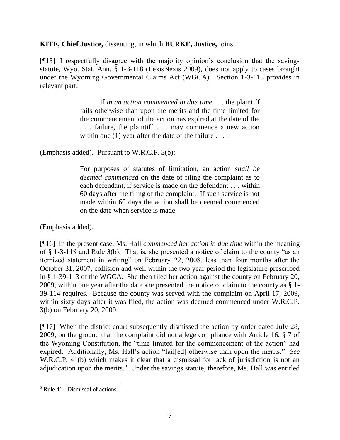**KITE, Chief Justice,** dissenting, in which **BURKE, Justice,** joins.

[¶15] I respectfully disagree with the majority opinion's conclusion that the savings statute, Wyo. Stat. Ann. § 1-3-118 (LexisNexis 2009), does not apply to cases brought under the Wyoming Governmental Claims Act (WGCA). Section 1-3-118 provides in relevant part:

> If *in an action commenced in due time* . . . the plaintiff fails otherwise than upon the merits and the time limited for the commencement of the action has expired at the date of the . . . failure, the plaintiff . . . may commence a new action within one  $(1)$  year after the date of the failure ...

(Emphasis added). Pursuant to W.R.C.P. 3(b):

For purposes of statutes of limitation, an action *shall be deemed commenced* on the date of filing the complaint as to each defendant, if service is made on the defendant . . . within 60 days after the filing of the complaint. If such service is not made within 60 days the action shall be deemed commenced on the date when service is made.

(Emphasis added).

[¶16] In the present case, Ms. Hall *commenced her action in due time* within the meaning of  $\S$  1-3-118 and Rule 3(b). That is, she presented a notice of claim to the county "as an itemized statement in writing" on February 22, 2008, less than four months after the October 31, 2007, collision and well within the two year period the legislature prescribed in § 1-39-113 of the WGCA. She then filed her action against the county on February 20, 2009, within one year after the date she presented the notice of claim to the county as § 1- 39-114 requires. Because the county was served with the complaint on April 17, 2009, within sixty days after it was filed, the action was deemed commenced under W.R.C.P. 3(b) on February 20, 2009.

[¶17] When the district court subsequently dismissed the action by order dated July 28, 2009, on the ground that the complaint did not allege compliance with Article 16, § 7 of the Wyoming Constitution, the "time limited for the commencement of the action" had expired. Additionally, Ms. Hall's action "fail[ed] otherwise than upon the merits." *See* W.R.C.P. 41(b) which makes it clear that a dismissal for lack of jurisdiction is not an adjudication upon the merits.<sup>5</sup> Under the savings statute, therefore, Ms. Hall was entitled

 $<sup>5</sup>$  Rule 41. Dismissal of actions.</sup>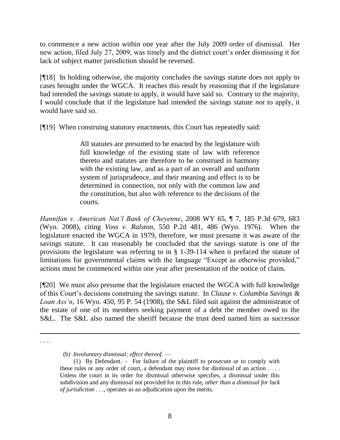to commence a new action within one year after the July 2009 order of dismissal. Her new action, filed July 27, 2009, was timely and the district court's order dismissing it for lack of subject matter jurisdiction should be reversed.

[¶18] In holding otherwise, the majority concludes the savings statute does not apply to cases brought under the WGCA. It reaches this result by reasoning that if the legislature had intended the savings statute to apply, it would have said so. Contrary to the majority, I would conclude that if the legislature had intended the savings statute *not* to apply, it would have said so.

[¶19] When construing statutory enactments, this Court has repeatedly said:

All statutes are presumed to be enacted by the legislature with full knowledge of the existing state of law with reference thereto and statutes are therefore to be construed in harmony with the existing law, and as a part of an overall and uniform system of jurisprudence, and their meaning and effect is to be determined in connection, not only with the common law and the constitution, but also with reference to the decisions of the courts.

*Hannifan v. American Nat'l Bank of Cheyenne*, 2008 WY 65, ¶ 7, 185 P.3d 679, 683 (Wyo. 2008), citing *Voss v. Ralston*, 550 P.2d 481, 486 (Wyo. 1976). When the legislature enacted the WGCA in 1979, therefore, we must presume it was aware of the savings statute. It can reasonably be concluded that the savings statute is one of the provisions the legislature was referring to in § 1-39-114 when it prefaced the statute of limitations for governmental claims with the language "Except as otherwise provided," actions must be commenced within one year after presentation of the notice of claim.

[¶20] We must also presume that the legislature enacted the WGCA with full knowledge of this Court's decisions construing the savings statute. In *Clause v. Columbia Savings & Loan Ass'n*, 16 Wyo. 450, 95 P. 54 (1908), the S&L filed suit against the administrator of the estate of one of its members seeking payment of a debt the member owed to the S&L. The S&L also named the sheriff because the trust deed named him as successor

. . . .

(b) *Involuntary dismissal; effect thereof*. —

 <sup>(1)</sup> By Defendant. – For failure of the plaintiff to prosecute or to comply with these rules or any order of court, a defendant may move for dismissal of an action . . . . Unless the court in its order for dismissal otherwise specifies, a dismissal under this subdivision and any dismissal not provided for in this rule, *other than a dismissal for lack of jurisdiction* . . ., operates as an adjudication upon the merits.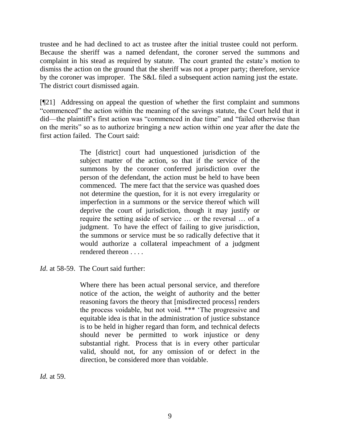trustee and he had declined to act as trustee after the initial trustee could not perform. Because the sheriff was a named defendant, the coroner served the summons and complaint in his stead as required by statute. The court granted the estate's motion to dismiss the action on the ground that the sheriff was not a proper party; therefore, service by the coroner was improper. The S&L filed a subsequent action naming just the estate. The district court dismissed again.

[¶21] Addressing on appeal the question of whether the first complaint and summons ―commenced‖ the action within the meaning of the savings statute, the Court held that it did—the plaintiff's first action was "commenced in due time" and "failed otherwise than on the merits" so as to authorize bringing a new action within one year after the date the first action failed. The Court said:

> The [district] court had unquestioned jurisdiction of the subject matter of the action, so that if the service of the summons by the coroner conferred jurisdiction over the person of the defendant, the action must be held to have been commenced. The mere fact that the service was quashed does not determine the question, for it is not every irregularity or imperfection in a summons or the service thereof which will deprive the court of jurisdiction, though it may justify or require the setting aside of service … or the reversal … of a judgment. To have the effect of failing to give jurisdiction, the summons or service must be so radically defective that it would authorize a collateral impeachment of a judgment rendered thereon . . . .

Where there has been actual personal service, and therefore notice of the action, the weight of authority and the better reasoning favors the theory that [misdirected process] renders the process voidable, but not void. \*\*\* ‗The progressive and equitable idea is that in the administration of justice substance is to be held in higher regard than form, and technical defects should never be permitted to work injustice or deny substantial right. Process that is in every other particular valid, should not, for any omission of or defect in the direction, be considered more than voidable.

*Id.* at 59.

*Id.* at 58-59. The Court said further: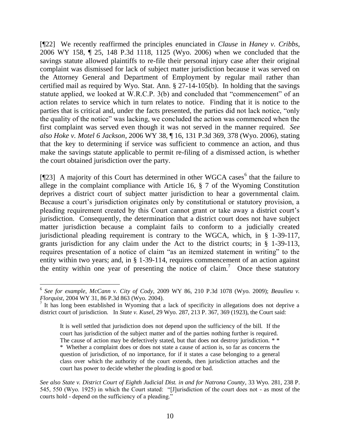[¶22] We recently reaffirmed the principles enunciated in *Clause* in *Haney v. Cribbs*, 2006 WY 158, ¶ 25, 148 P.3d 1118, 1125 (Wyo. 2006) when we concluded that the savings statute allowed plaintiffs to re-file their personal injury case after their original complaint was dismissed for lack of subject matter jurisdiction because it was served on the Attorney General and Department of Employment by regular mail rather than certified mail as required by Wyo. Stat. Ann. § 27-14-105(b). In holding that the savings statute applied, we looked at W.R.C.P.  $3(b)$  and concluded that "commencement" of an action relates to service which in turn relates to notice. Finding that it is notice to the parties that is critical and, under the facts presented, the parties did not lack notice, "only the quality of the notice" was lacking, we concluded the action was commenced when the first complaint was served even though it was not served in the manner required. *See also Hoke v. Motel 6 Jackson*, 2006 WY 38, ¶ 16, 131 P.3d 369, 378 (Wyo. 2006), stating that the key to determining if service was sufficient to commence an action, and thus make the savings statute applicable to permit re-filing of a dismissed action, is whether the court obtained jurisdiction over the party.

[ $[23]$  A majority of this Court has determined in other WGCA cases<sup>6</sup> that the failure to allege in the complaint compliance with Article 16, § 7 of the Wyoming Constitution deprives a district court of subject matter jurisdiction to hear a governmental claim. Because a court's jurisdiction originates only by constitutional or statutory provision, a pleading requirement created by this Court cannot grant or take away a district court's jurisdiction. Consequently, the determination that a district court does not have subject matter jurisdiction because a complaint fails to conform to a judicially created jurisdictional pleading requirement is contrary to the WGCA, which, in § 1-39-117, grants jurisdiction for any claim under the Act to the district courts; in § 1-39-113, requires presentation of a notice of claim "as an itemized statement in writing" to the entity within two years; and, in § 1-39-114, requires commencement of an action against the entity within one year of presenting the notice of claim.<sup>7</sup> Once these statutory

<sup>6</sup> *See for example*, *McCann v. City of Cody*, 2009 WY 86, 210 P.3d 1078 (Wyo. 2009); *Beaulieu v. Florquist*, 2004 WY 31, 86 P.3d 863 (Wyo. 2004).

<sup>&</sup>lt;sup>7</sup> It has long been established in Wyoming that a lack of specificity in allegations does not deprive a district court of jurisdiction. In *State v. Kusel*, 29 Wyo. 287, 213 P. 367, 369 (1923), the Court said:

It is well settled that jurisdiction does not depend upon the sufficiency of the bill. If the court has jurisdiction of the subject matter and of the parties nothing further is required. The cause of action may be defectively stated, but that does not destroy jurisdiction. \*\* \* Whether a complaint does or does not state a cause of action is, so far as concerns the question of jurisdiction, of no importance, for if it states a case belonging to a general class over which the authority of the court extends, then jurisdiction attaches and the court has power to decide whether the pleading is good or bad.

*See also State v. District Court of Eighth Judicial Dist. in and for Natrona County*, 33 Wyo. 281, 238 P. 545, 550 (Wyo. 1925) in which the Court stated: "[J]urisdiction of the court does not - as most of the courts hold - depend on the sufficiency of a pleading."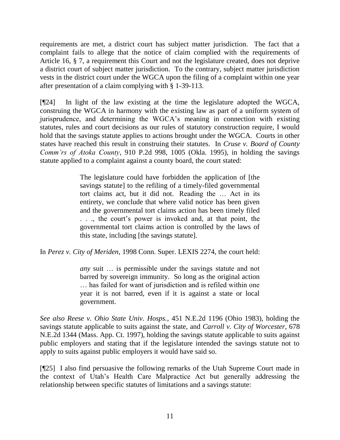requirements are met, a district court has subject matter jurisdiction. The fact that a complaint fails to allege that the notice of claim complied with the requirements of Article 16, § 7, a requirement this Court and not the legislature created, does not deprive a district court of subject matter jurisdiction. To the contrary, subject matter jurisdiction vests in the district court under the WGCA upon the filing of a complaint within one year after presentation of a claim complying with § 1-39-113.

[¶24] In light of the law existing at the time the legislature adopted the WGCA, construing the WGCA in harmony with the existing law as part of a uniform system of jurisprudence, and determining the WGCA's meaning in connection with existing statutes, rules and court decisions as our rules of statutory construction require, I would hold that the savings statute applies to actions brought under the WGCA. Courts in other states have reached this result in construing their statutes. In *Cruse v. Board of County Comm'rs of Atoka County*, 910 P.2d 998, 1005 (Okla. 1995), in holding the savings statute applied to a complaint against a county board, the court stated:

> The legislature could have forbidden the application of [the savings statute] to the refiling of a timely-filed governmental tort claims act, but it did not. Reading the … Act in its entirety, we conclude that where valid notice has been given and the governmental tort claims action has been timely filed . . ., the court's power is invoked and, at that point, the governmental tort claims action is controlled by the laws of this state, including [the savings statute].

In *Perez v. City of Meriden*, 1998 Conn. Super. LEXIS 2274, the court held:

*any* suit … is permissible under the savings statute and not barred by sovereign immunity. So long as the original action … has failed for want of jurisdiction and is refiled within one year it is not barred, even if it is against a state or local government.

*See also Reese v. Ohio State Univ. Hosps.*, 451 N.E.2d 1196 (Ohio 1983), holding the savings statute applicable to suits against the state, and *Carroll v. City of Worcester*, 678 N.E.2d 1344 (Mass. App. Ct. 1997), holding the savings statute applicable to suits against public employers and stating that if the legislature intended the savings statute not to apply to suits against public employers it would have said so.

[¶25] I also find persuasive the following remarks of the Utah Supreme Court made in the context of Utah's Health Care Malpractice Act but generally addressing the relationship between specific statutes of limitations and a savings statute: